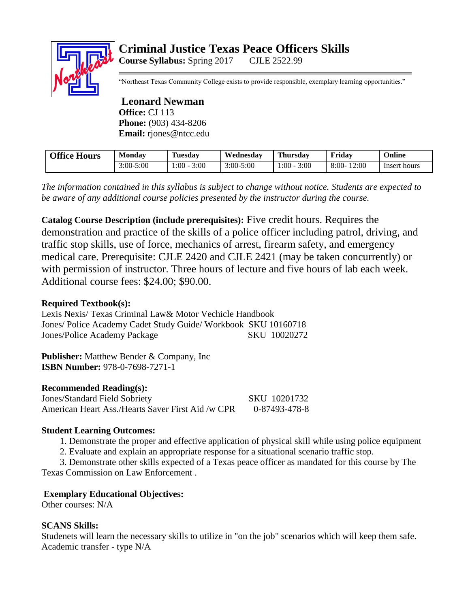# **Criminal Justice Texas Peace Officers Skills Course Syllabus:** Spring 2017 CJLE 2522.99

"Northeast Texas Community College exists to provide responsible, exemplary learning opportunities."

**Leonard Newman Office:** CJ 113 **Phone:** (903) 434-8206 **Email:** rjones@ntcc.edu

| <b>Office Hours</b> | <b>Monday</b> | Tuesdav        | Wednesday     | <b>Thursday</b> | Friday           | Online       |
|---------------------|---------------|----------------|---------------|-----------------|------------------|--------------|
|                     | $3:00 - 5:00$ | $:00-$<br>3:00 | $3:00 - 5:00$ | 3:00<br>.:00    | 12:00<br>$8:00-$ | Insert hours |

*The information contained in this syllabus is subject to change without notice. Students are expected to be aware of any additional course policies presented by the instructor during the course.*

**Catalog Course Description (include prerequisites):** Five credit hours. Requires the demonstration and practice of the skills of a police officer including patrol, driving, and traffic stop skills, use of force, mechanics of arrest, firearm safety, and emergency medical care. Prerequisite: CJLE 2420 and CJLE 2421 (may be taken concurrently) or with permission of instructor. Three hours of lecture and five hours of lab each week. Additional course fees: \$24.00; \$90.00.

## **Required Textbook(s):**

Lexis Nexis/ Texas Criminal Law& Motor Vechicle Handbook Jones/ Police Academy Cadet Study Guide/ Workbook SKU 10160718 Jones/Police Academy Package SKU 10020272

**Publisher:** Matthew Bender & Company, Inc. **ISBN Number:** 978-0-7698-7271-1

#### **Recommended Reading(s):**

Jones/Standard Field Sobriety SKU 10201732 American Heart Ass./Hearts Saver First Aid /w CPR 0-87493-478-8

## **Student Learning Outcomes:**

1. Demonstrate the proper and effective application of physical skill while using police equipment

2. Evaluate and explain an appropriate response for a situational scenario traffic stop.

 3. Demonstrate other skills expected of a Texas peace officer as mandated for this course by The Texas Commission on Law Enforcement .

## **Exemplary Educational Objectives:**

Other courses: N/A

## **SCANS Skills:**

Studenets will learn the necessary skills to utilize in "on the job" scenarios which will keep them safe. Academic transfer - type N/A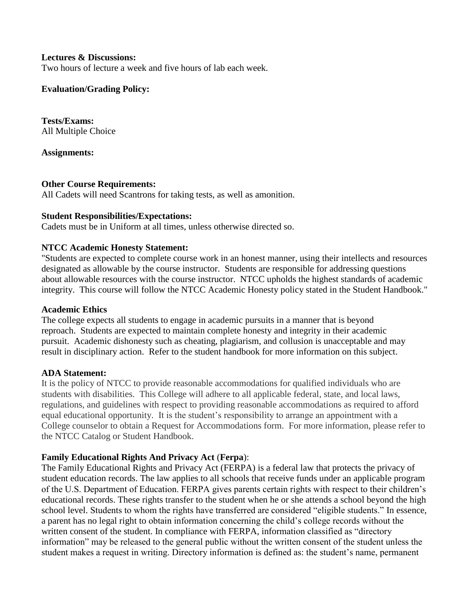#### **Lectures & Discussions:**

Two hours of lecture a week and five hours of lab each week.

#### **Evaluation/Grading Policy:**

**Tests/Exams:** All Multiple Choice

#### **Assignments:**

#### **Other Course Requirements:**

All Cadets will need Scantrons for taking tests, as well as amonition.

#### **Student Responsibilities/Expectations:**

Cadets must be in Uniform at all times, unless otherwise directed so.

#### **NTCC Academic Honesty Statement:**

"Students are expected to complete course work in an honest manner, using their intellects and resources designated as allowable by the course instructor. Students are responsible for addressing questions about allowable resources with the course instructor. NTCC upholds the highest standards of academic integrity. This course will follow the NTCC Academic Honesty policy stated in the Student Handbook."

#### **Academic Ethics**

The college expects all students to engage in academic pursuits in a manner that is beyond reproach. Students are expected to maintain complete honesty and integrity in their academic pursuit. Academic dishonesty such as cheating, plagiarism, and collusion is unacceptable and may result in disciplinary action. Refer to the student handbook for more information on this subject.

#### **ADA Statement:**

It is the policy of NTCC to provide reasonable accommodations for qualified individuals who are students with disabilities. This College will adhere to all applicable federal, state, and local laws, regulations, and guidelines with respect to providing reasonable accommodations as required to afford equal educational opportunity. It is the student's responsibility to arrange an appointment with a College counselor to obtain a Request for Accommodations form. For more information, please refer to the NTCC Catalog or Student Handbook.

#### **Family Educational Rights And Privacy Act** (**Ferpa**):

The Family Educational Rights and Privacy Act (FERPA) is a federal law that protects the privacy of student education records. The law applies to all schools that receive funds under an applicable program of the U.S. Department of Education. FERPA gives parents certain rights with respect to their children's educational records. These rights transfer to the student when he or she attends a school beyond the high school level. Students to whom the rights have transferred are considered "eligible students." In essence, a parent has no legal right to obtain information concerning the child's college records without the written consent of the student. In compliance with FERPA, information classified as "directory information" may be released to the general public without the written consent of the student unless the student makes a request in writing. Directory information is defined as: the student's name, permanent